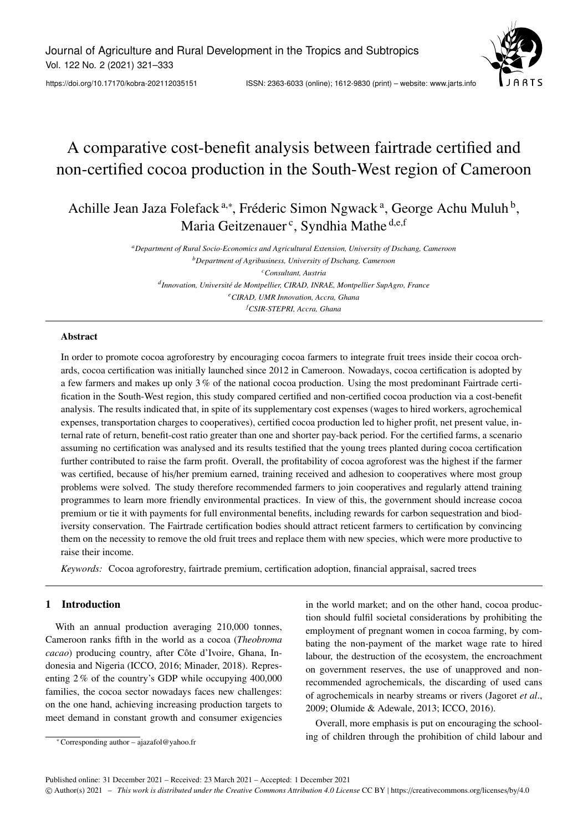Journal of Agriculture and Rural Development in the Tropics and Subtropics Vol. 122 No. 2 (2021) 321–333

https://doi.org/10.17170/kobra-202112035151 ISSN: 2363-6033 (online); 1612-9830 (print) – website: www.jarts.info

# A comparative cost-benefit analysis between fairtrade certified and non-certified cocoa production in the South-West region of Cameroon

Achille Jean Jaza Folefack<sup>a,\*</sup>, Fréderic Simon Ngwack<sup>a</sup>, George Achu Muluh<sup>b</sup>, Maria Geitzenauer<sup>c</sup>, Syndhia Mathe <sup>d,e,f</sup>

> *<sup>a</sup>Department of Rural Socio-Economics and Agricultural Extension, University of Dschang, Cameroon <sup>b</sup>Department of Agribusiness, University of Dschang, Cameroon <sup>c</sup>Consultant, Austria d Innovation, Université de Montpellier, CIRAD, INRAE, Montpellier SupAgro, France <sup>e</sup>CIRAD, UMR Innovation, Accra, Ghana <sup>f</sup>CSIR-STEPRI, Accra, Ghana*

## Abstract

In order to promote cocoa agroforestry by encouraging cocoa farmers to integrate fruit trees inside their cocoa orchards, cocoa certification was initially launched since 2012 in Cameroon. Nowadays, cocoa certification is adopted by a few farmers and makes up only 3 % of the national cocoa production. Using the most predominant Fairtrade certification in the South-West region, this study compared certified and non-certified cocoa production via a cost-benefit analysis. The results indicated that, in spite of its supplementary cost expenses (wages to hired workers, agrochemical expenses, transportation charges to cooperatives), certified cocoa production led to higher profit, net present value, internal rate of return, benefit-cost ratio greater than one and shorter pay-back period. For the certified farms, a scenario assuming no certification was analysed and its results testified that the young trees planted during cocoa certification further contributed to raise the farm profit. Overall, the profitability of cocoa agroforest was the highest if the farmer was certified, because of his/her premium earned, training received and adhesion to cooperatives where most group problems were solved. The study therefore recommended farmers to join cooperatives and regularly attend training programmes to learn more friendly environmental practices. In view of this, the government should increase cocoa premium or tie it with payments for full environmental benefits, including rewards for carbon sequestration and biodiversity conservation. The Fairtrade certification bodies should attract reticent farmers to certification by convincing them on the necessity to remove the old fruit trees and replace them with new species, which were more productive to raise their income.

*Keywords:* Cocoa agroforestry, fairtrade premium, certification adoption, financial appraisal, sacred trees

# 1 Introduction

With an annual production averaging 210,000 tonnes, Cameroon ranks fifth in the world as a cocoa (*Theobroma cacao*) producing country, after Côte d'Ivoire, Ghana, Indonesia and Nigeria (ICCO, 2016; Minader, 2018). Representing 2 % of the country's GDP while occupying 400,000 families, the cocoa sector nowadays faces new challenges: on the one hand, achieving increasing production targets to meet demand in constant growth and consumer exigencies

in the world market; and on the other hand, cocoa production should fulfil societal considerations by prohibiting the employment of pregnant women in cocoa farming, by combating the non-payment of the market wage rate to hired labour, the destruction of the ecosystem, the encroachment on government reserves, the use of unapproved and nonrecommended agrochemicals, the discarding of used cans of agrochemicals in nearby streams or rivers (Jagoret *et al*., 2009; Olumide & Adewale, 2013; ICCO, 2016).

Overall, more emphasis is put on encouraging the schooling of children through the prohibition of child labour and

<sup>∗</sup> Corresponding author – ajazafol@yahoo.fr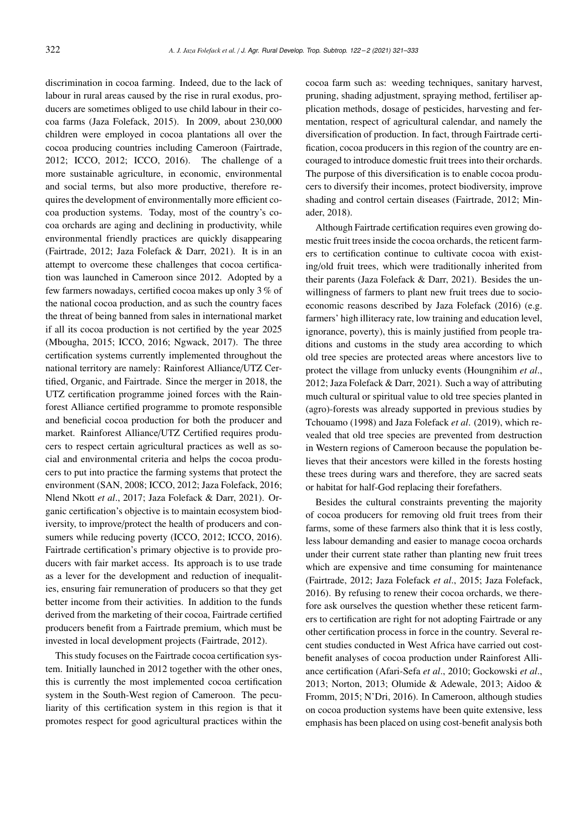discrimination in cocoa farming. Indeed, due to the lack of labour in rural areas caused by the rise in rural exodus, producers are sometimes obliged to use child labour in their cocoa farms (Jaza Folefack, 2015). In 2009, about 230,000 children were employed in cocoa plantations all over the cocoa producing countries including Cameroon (Fairtrade, 2012; ICCO, 2012; ICCO, 2016). The challenge of a more sustainable agriculture, in economic, environmental and social terms, but also more productive, therefore requires the development of environmentally more efficient cocoa production systems. Today, most of the country's cocoa orchards are aging and declining in productivity, while environmental friendly practices are quickly disappearing (Fairtrade, 2012; Jaza Folefack & Darr, 2021). It is in an attempt to overcome these challenges that cocoa certification was launched in Cameroon since 2012. Adopted by a few farmers nowadays, certified cocoa makes up only 3 % of the national cocoa production, and as such the country faces the threat of being banned from sales in international market if all its cocoa production is not certified by the year 2025 (Mbougha, 2015; ICCO, 2016; Ngwack, 2017). The three certification systems currently implemented throughout the national territory are namely: Rainforest Alliance/UTZ Certified, Organic, and Fairtrade. Since the merger in 2018, the UTZ certification programme joined forces with the Rainforest Alliance certified programme to promote responsible and beneficial cocoa production for both the producer and market. Rainforest Alliance/UTZ Certified requires producers to respect certain agricultural practices as well as social and environmental criteria and helps the cocoa producers to put into practice the farming systems that protect the environment (SAN, 2008; ICCO, 2012; Jaza Folefack, 2016; Nlend Nkott *et al*., 2017; Jaza Folefack & Darr, 2021). Organic certification's objective is to maintain ecosystem biodiversity, to improve/protect the health of producers and consumers while reducing poverty (ICCO, 2012; ICCO, 2016). Fairtrade certification's primary objective is to provide producers with fair market access. Its approach is to use trade as a lever for the development and reduction of inequalities, ensuring fair remuneration of producers so that they get better income from their activities. In addition to the funds derived from the marketing of their cocoa, Fairtrade certified producers benefit from a Fairtrade premium, which must be invested in local development projects (Fairtrade, 2012).

This study focuses on the Fairtrade cocoa certification system. Initially launched in 2012 together with the other ones, this is currently the most implemented cocoa certification system in the South-West region of Cameroon. The peculiarity of this certification system in this region is that it promotes respect for good agricultural practices within the

cocoa farm such as: weeding techniques, sanitary harvest, pruning, shading adjustment, spraying method, fertiliser application methods, dosage of pesticides, harvesting and fermentation, respect of agricultural calendar, and namely the diversification of production. In fact, through Fairtrade certification, cocoa producers in this region of the country are encouraged to introduce domestic fruit trees into their orchards. The purpose of this diversification is to enable cocoa producers to diversify their incomes, protect biodiversity, improve shading and control certain diseases (Fairtrade, 2012; Minader, 2018).

Although Fairtrade certification requires even growing domestic fruit trees inside the cocoa orchards, the reticent farmers to certification continue to cultivate cocoa with existing/old fruit trees, which were traditionally inherited from their parents (Jaza Folefack & Darr, 2021). Besides the unwillingness of farmers to plant new fruit trees due to socioeconomic reasons described by Jaza Folefack (2016) (e.g. farmers' high illiteracy rate, low training and education level, ignorance, poverty), this is mainly justified from people traditions and customs in the study area according to which old tree species are protected areas where ancestors live to protect the village from unlucky events (Houngnihim *et al*., 2012; Jaza Folefack & Darr, 2021). Such a way of attributing much cultural or spiritual value to old tree species planted in (agro)-forests was already supported in previous studies by Tchouamo (1998) and Jaza Folefack *et al*. (2019), which revealed that old tree species are prevented from destruction in Western regions of Cameroon because the population believes that their ancestors were killed in the forests hosting these trees during wars and therefore, they are sacred seats or habitat for half-God replacing their forefathers.

Besides the cultural constraints preventing the majority of cocoa producers for removing old fruit trees from their farms, some of these farmers also think that it is less costly, less labour demanding and easier to manage cocoa orchards under their current state rather than planting new fruit trees which are expensive and time consuming for maintenance (Fairtrade, 2012; Jaza Folefack *et al*., 2015; Jaza Folefack, 2016). By refusing to renew their cocoa orchards, we therefore ask ourselves the question whether these reticent farmers to certification are right for not adopting Fairtrade or any other certification process in force in the country. Several recent studies conducted in West Africa have carried out costbenefit analyses of cocoa production under Rainforest Alliance certification (Afari-Sefa *et al*., 2010; Gockowski *et al*., 2013; Norton, 2013; Olumide & Adewale, 2013; Aidoo & Fromm, 2015; N'Dri, 2016). In Cameroon, although studies on cocoa production systems have been quite extensive, less emphasis has been placed on using cost-benefit analysis both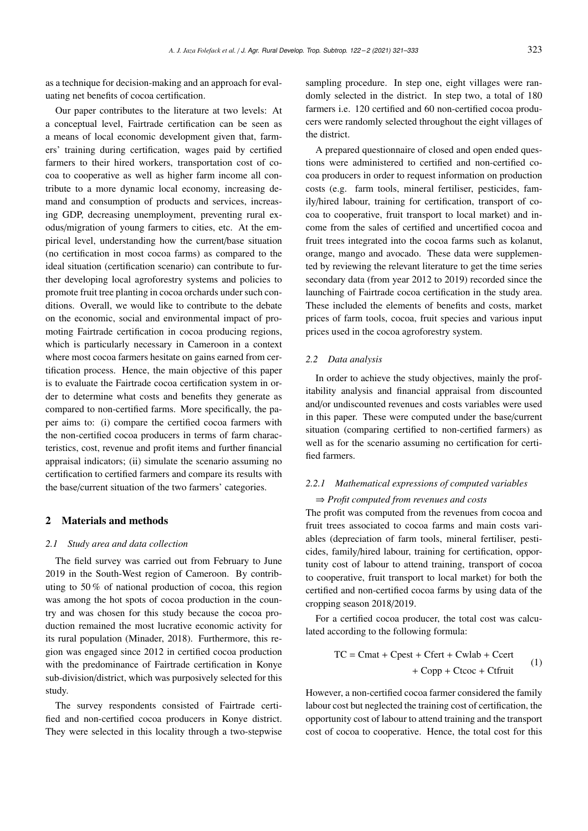as a technique for decision-making and an approach for evaluating net benefits of cocoa certification.

Our paper contributes to the literature at two levels: At a conceptual level, Fairtrade certification can be seen as a means of local economic development given that, farmers' training during certification, wages paid by certified farmers to their hired workers, transportation cost of cocoa to cooperative as well as higher farm income all contribute to a more dynamic local economy, increasing demand and consumption of products and services, increasing GDP, decreasing unemployment, preventing rural exodus/migration of young farmers to cities, etc. At the empirical level, understanding how the current/base situation (no certification in most cocoa farms) as compared to the ideal situation (certification scenario) can contribute to further developing local agroforestry systems and policies to promote fruit tree planting in cocoa orchards under such conditions. Overall, we would like to contribute to the debate on the economic, social and environmental impact of promoting Fairtrade certification in cocoa producing regions, which is particularly necessary in Cameroon in a context where most cocoa farmers hesitate on gains earned from certification process. Hence, the main objective of this paper is to evaluate the Fairtrade cocoa certification system in order to determine what costs and benefits they generate as compared to non-certified farms. More specifically, the paper aims to: (i) compare the certified cocoa farmers with the non-certified cocoa producers in terms of farm characteristics, cost, revenue and profit items and further financial appraisal indicators; (ii) simulate the scenario assuming no certification to certified farmers and compare its results with the base/current situation of the two farmers' categories.

#### 2 Materials and methods

#### *2.1 Study area and data collection*

The field survey was carried out from February to June 2019 in the South-West region of Cameroon. By contributing to 50 % of national production of cocoa, this region was among the hot spots of cocoa production in the country and was chosen for this study because the cocoa production remained the most lucrative economic activity for its rural population (Minader, 2018). Furthermore, this region was engaged since 2012 in certified cocoa production with the predominance of Fairtrade certification in Konye sub-division/district, which was purposively selected for this study.

The survey respondents consisted of Fairtrade certified and non-certified cocoa producers in Konye district. They were selected in this locality through a two-stepwise sampling procedure. In step one, eight villages were randomly selected in the district. In step two, a total of 180 farmers i.e. 120 certified and 60 non-certified cocoa producers were randomly selected throughout the eight villages of the district.

A prepared questionnaire of closed and open ended questions were administered to certified and non-certified cocoa producers in order to request information on production costs (e.g. farm tools, mineral fertiliser, pesticides, family/hired labour, training for certification, transport of cocoa to cooperative, fruit transport to local market) and income from the sales of certified and uncertified cocoa and fruit trees integrated into the cocoa farms such as kolanut, orange, mango and avocado. These data were supplemented by reviewing the relevant literature to get the time series secondary data (from year 2012 to 2019) recorded since the launching of Fairtrade cocoa certification in the study area. These included the elements of benefits and costs, market prices of farm tools, cocoa, fruit species and various input prices used in the cocoa agroforestry system.

#### *2.2 Data analysis*

In order to achieve the study objectives, mainly the profitability analysis and financial appraisal from discounted and/or undiscounted revenues and costs variables were used in this paper. These were computed under the base/current situation (comparing certified to non-certified farmers) as well as for the scenario assuming no certification for certified farmers.

## *2.2.1 Mathematical expressions of computed variables*

#### ⇒ *Profit computed from revenues and costs*

The profit was computed from the revenues from cocoa and fruit trees associated to cocoa farms and main costs variables (depreciation of farm tools, mineral fertiliser, pesticides, family/hired labour, training for certification, opportunity cost of labour to attend training, transport of cocoa to cooperative, fruit transport to local market) for both the certified and non-certified cocoa farms by using data of the cropping season 2018/2019.

For a certified cocoa producer, the total cost was calculated according to the following formula:

$$
TC = Cmat + Cpest + Cfert + Cwlab + Ccert + Copp + Ctcoc + Ctfruit
$$
 (1)

However, a non-certified cocoa farmer considered the family labour cost but neglected the training cost of certification, the opportunity cost of labour to attend training and the transport cost of cocoa to cooperative. Hence, the total cost for this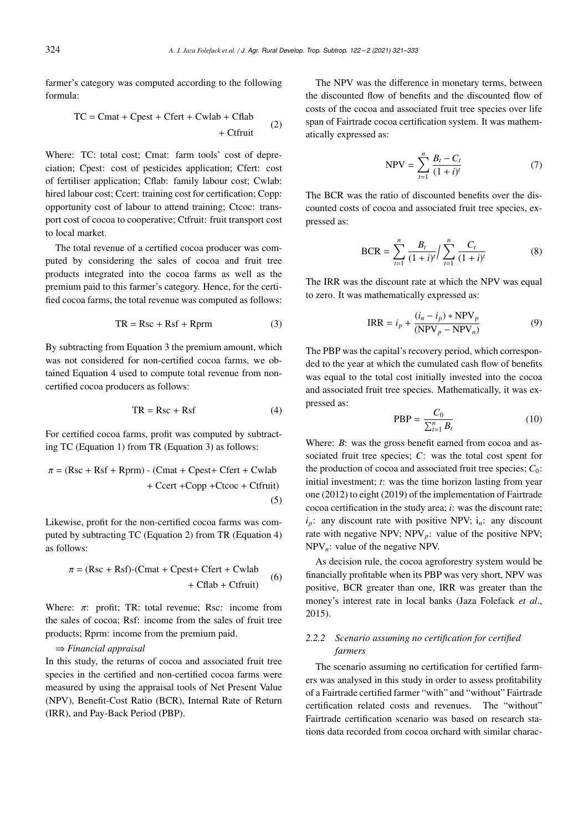farmer's category was computed according to the following formula:

$$
TC = Cmat + Cpest + Cfert + Cwlab + Cflab + Ctfruit
$$
 (2)

Where: TC: total cost; Cmat: farm tools' cost of depreciation; Cpest: cost of pesticides application; Cfert: cost of fertiliser application; Cflab: family labour cost; Cwlab: hired labour cost; Ccert: training cost for certification; Copp: opportunity cost of labour to attend training; Ctcoc: transport cost of cocoa to cooperative; Ctfruit: fruit transport cost to local market.

The total revenue of a certified cocoa producer was computed by considering the sales of cocoa and fruit tree products integrated into the cocoa farms as well as the premium paid to this farmer's category. Hence, for the certified cocoa farms, the total revenue was computed as follows:

$$
TR = Rsc + Rsf + Rprm \tag{3}
$$

By subtracting from Equation 3 the premium amount, which was not considered for non-certified cocoa farms, we obtained Equation 4 used to compute total revenue from noncertified cocoa producers as follows:

$$
TR = Rsc + Rsf
$$
 (4)

For certified cocoa farms, profit was computed by subtracting TC (Equation 1) from TR (Equation 3) as follows:

$$
\pi = (\text{Rsc} + \text{Rsf} + \text{Rprm}) - (\text{Cmat} + \text{Cpest} + \text{Cfert} + \text{Cwlab} + \text{Ccert} + \text{Copp} + \text{Ctccc} + \text{Ctfruit})
$$
\n(5)

Likewise, profit for the non-certified cocoa farms was computed by subtracting TC (Equation 2) from TR (Equation 4) as follows:

$$
\pi = (\text{Rsc} + \text{Rsf}) \cdot (\text{Cmat} + \text{Cpest} + \text{Cfert} + \text{Cwlab} + \text{Cflab} + \text{Cfruit}) \tag{6}
$$

Where:  $\pi$ : profit; TR: total revenue; Rsc: income from the sales of cocoa; Rsf: income from the sales of fruit tree products; Rprm: income from the premium paid.

## ⇒ *Financial appraisal*

In this study, the returns of cocoa and associated fruit tree species in the certified and non-certified cocoa farms were measured by using the appraisal tools of Net Present Value (NPV), Benefit-Cost Ratio (BCR), Internal Rate of Return (IRR), and Pay-Back Period (PBP).

The NPV was the difference in monetary terms, between the discounted flow of benefits and the discounted flow of costs of the cocoa and associated fruit tree species over life span of Fairtrade cocoa certification system. It was mathematically expressed as:

$$
NPV = \sum_{t=1}^{n} \frac{B_t - C_t}{(1 + i)^t}
$$
 (7)

The BCR was the ratio of discounted benefits over the discounted costs of cocoa and associated fruit tree species, expressed as:

$$
BCR = \sum_{t=1}^{n} \frac{B_t}{(1+i)^t} / \sum_{t=1}^{n} \frac{C_t}{(1+i)^t}
$$
 (8)

The IRR was the discount rate at which the NPV was equal to zero. It was mathematically expressed as:

$$
IRR = i_p + \frac{(i_n - i_p) * NPV_p}{(NPV_p - NPV_n)}
$$
(9)

The PBP was the capital's recovery period, which corresponded to the year at which the cumulated cash flow of benefits was equal to the total cost initially invested into the cocoa and associated fruit tree species. Mathematically, it was expressed as:

$$
PBP = \frac{C_0}{\sum_{t=1}^{n} B_t} \tag{10}
$$

Where: *B*: was the gross benefit earned from cocoa and associated fruit tree species; *C*: was the total cost spent for the production of cocoa and associated fruit tree species;  $C_0$ : initial investment; *t*: was the time horizon lasting from year one (2012) to eight (2019) of the implementation of Fairtrade cocoa certification in the study area; *i*: was the discount rate;  $i_p$ : any discount rate with positive NPV;  $i_p$ : any discount rate with negative NPV;  $NPV_p$ : value of the positive NPV; NPV*n*: value of the negative NPV.

As decision rule, the cocoa agroforestry system would be financially profitable when its PBP was very short, NPV was positive, BCR greater than one, IRR was greater than the money's interest rate in local banks (Jaza Folefack *et al*., 2015).

# *2.2.2 Scenario assuming no certification for certified farmers*

The scenario assuming no certification for certified farmers was analysed in this study in order to assess profitability of a Fairtrade certified farmer "with" and "without" Fairtrade certification related costs and revenues. The "without" Fairtrade certification scenario was based on research stations data recorded from cocoa orchard with similar charac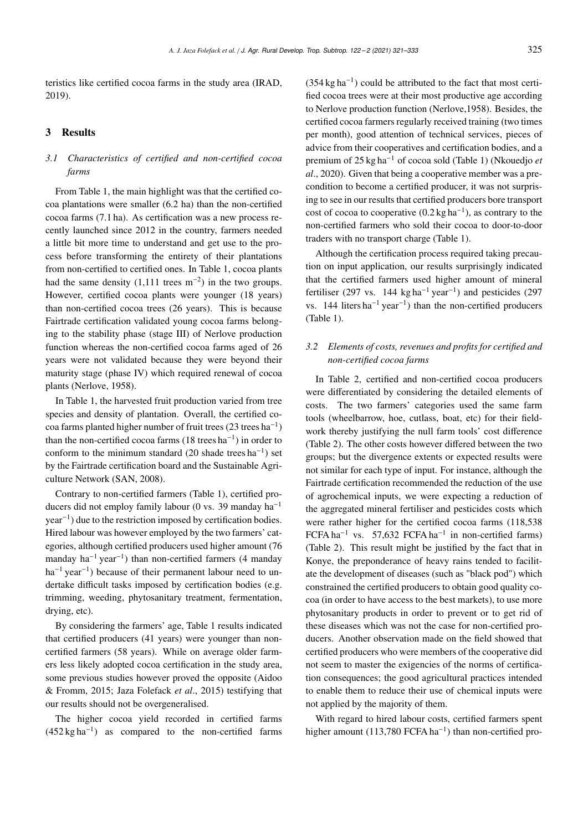teristics like certified cocoa farms in the study area (IRAD, 2019).

#### 3 Results

# *3.1 Characteristics of certified and non-certified cocoa farms*

From Table 1, the main highlight was that the certified cocoa plantations were smaller (6.2 ha) than the non-certified cocoa farms (7.1 ha). As certification was a new process recently launched since 2012 in the country, farmers needed a little bit more time to understand and get use to the process before transforming the entirety of their plantations from non-certified to certified ones. In Table 1, cocoa plants had the same density  $(1,111$  trees m<sup>-2</sup>) in the two groups. However, certified cocoa plants were younger (18 years) than non-certified cocoa trees (26 years). This is because Fairtrade certification validated young cocoa farms belonging to the stability phase (stage III) of Nerlove production function whereas the non-certified cocoa farms aged of 26 years were not validated because they were beyond their maturity stage (phase IV) which required renewal of cocoa plants (Nerlove, 1958).

In Table 1, the harvested fruit production varied from tree species and density of plantation. Overall, the certified cocoa farms planted higher number of fruit trees (23 trees ha<sup>−</sup><sup>1</sup> ) than the non-certified cocoa farms  $(18 \text{ trees ha}^{-1})$  in order to conform to the minimum standard  $(20 \text{ shade trees ha}^{-1})$  set by the Fairtrade certification board and the Sustainable Agriculture Network (SAN, 2008).

Contrary to non-certified farmers (Table 1), certified producers did not employ family labour (0 vs. 39 manday  $ha^{-1}$ year<sup>−</sup><sup>1</sup> ) due to the restriction imposed by certification bodies. Hired labour was however employed by the two farmers' categories, although certified producers used higher amount (76 manday ha<sup>−</sup><sup>1</sup> year<sup>−</sup><sup>1</sup> ) than non-certified farmers (4 manday ha<sup>-1</sup> year<sup>-1</sup>) because of their permanent labour need to undertake difficult tasks imposed by certification bodies (e.g. trimming, weeding, phytosanitary treatment, fermentation, drying, etc).

By considering the farmers' age, Table 1 results indicated that certified producers (41 years) were younger than noncertified farmers (58 years). While on average older farmers less likely adopted cocoa certification in the study area, some previous studies however proved the opposite (Aidoo & Fromm, 2015; Jaza Folefack *et al*., 2015) testifying that our results should not be overgeneralised.

The higher cocoa yield recorded in certified farms  $(452 \text{ kg ha}^{-1})$  as compared to the non-certified farms

(354 kg ha<sup>−</sup><sup>1</sup> ) could be attributed to the fact that most certified cocoa trees were at their most productive age according to Nerlove production function (Nerlove,1958). Besides, the certified cocoa farmers regularly received training (two times per month), good attention of technical services, pieces of advice from their cooperatives and certification bodies, and a premium of 25 kg ha<sup>−</sup><sup>1</sup> of cocoa sold (Table 1) (Nkouedjo *et al*., 2020). Given that being a cooperative member was a precondition to become a certified producer, it was not surprising to see in our results that certified producers bore transport cost of cocoa to cooperative  $(0.2 \text{ kg ha}^{-1})$ , as contrary to the non-certified farmers who sold their cocoa to door-to-door traders with no transport charge (Table 1).

Although the certification process required taking precaution on input application, our results surprisingly indicated that the certified farmers used higher amount of mineral fertiliser (297 vs. 144 kg ha<sup>-1</sup> year<sup>-1</sup>) and pesticides (297 vs. 144 liters ha<sup>−</sup><sup>1</sup> year<sup>−</sup><sup>1</sup> ) than the non-certified producers (Table 1).

# *3.2 Elements of costs, revenues and profits for certified and non-certified cocoa farms*

In Table 2, certified and non-certified cocoa producers were differentiated by considering the detailed elements of costs. The two farmers' categories used the same farm tools (wheelbarrow, hoe, cutlass, boat, etc) for their fieldwork thereby justifying the null farm tools' cost difference (Table 2). The other costs however differed between the two groups; but the divergence extents or expected results were not similar for each type of input. For instance, although the Fairtrade certification recommended the reduction of the use of agrochemical inputs, we were expecting a reduction of the aggregated mineral fertiliser and pesticides costs which were rather higher for the certified cocoa farms (118,538 FCFA ha<sup>-1</sup> vs. 57,632 FCFA ha<sup>-1</sup> in non-certified farms) (Table 2). This result might be justified by the fact that in Konye, the preponderance of heavy rains tended to facilitate the development of diseases (such as "black pod") which constrained the certified producers to obtain good quality cocoa (in order to have access to the best markets), to use more phytosanitary products in order to prevent or to get rid of these diseases which was not the case for non-certified producers. Another observation made on the field showed that certified producers who were members of the cooperative did not seem to master the exigencies of the norms of certification consequences; the good agricultural practices intended to enable them to reduce their use of chemical inputs were not applied by the majority of them.

With regard to hired labour costs, certified farmers spent higher amount (113,780 FCFA ha<sup>-1</sup>) than non-certified pro-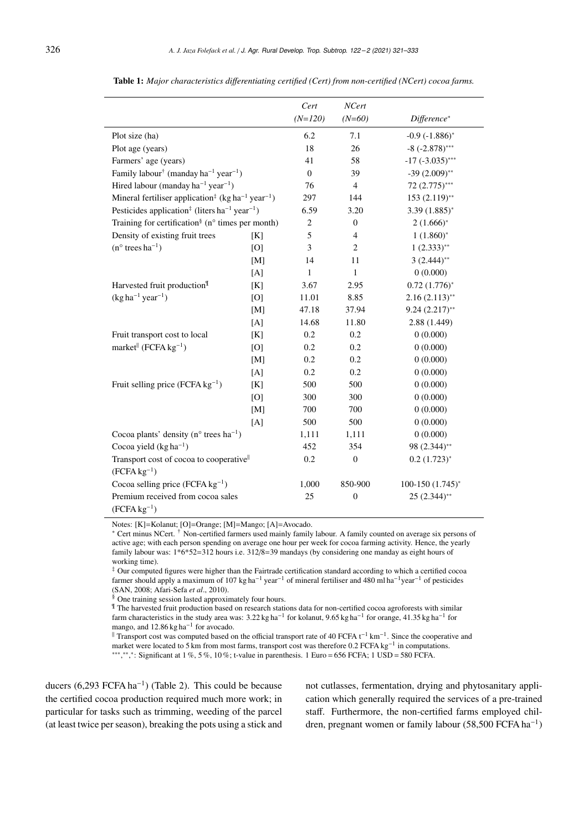|                                                                                       |     | Cert         | NCert            |                       |
|---------------------------------------------------------------------------------------|-----|--------------|------------------|-----------------------|
|                                                                                       |     | $(N=120)$    | $(N=60)$         | Difference*           |
| Plot size (ha)                                                                        |     | 6.2          | 7.1              | $-0.9(-1.886)^{*}$    |
| Plot age (years)                                                                      |     | 18           | 26               | $-8$ ( $-2.878$ )***  |
| Farmers' age (years)                                                                  |     | 41           | 58               | $-17$ $(-3.035)$ ***  |
| Family labour <sup>†</sup> (manday ha <sup>-1</sup> year <sup>-1</sup> )              |     | $\mathbf{0}$ | 39               | $-39(2.009)$ **       |
| Hired labour (manday $ha^{-1} year^{-1}$ )                                            |     | 76           | $\overline{4}$   | 72 (2.775)***         |
| Mineral fertiliser application <sup>‡</sup> (kg ha <sup>-1</sup> year <sup>-1</sup> ) |     | 297          | 144              | $153(2.119)$ **       |
| Pesticides application <sup>‡</sup> (liters ha <sup>-1</sup> year <sup>-1</sup> )     |     | 6.59         | 3.20             | $3.39(1.885)^{*}$     |
| Training for certification <sup>§</sup> (n° times per month)                          |     | $\,2$        | $\overline{0}$   | $2(1.666)^{*}$        |
| Density of existing fruit trees                                                       | [K] | 5            | $\overline{4}$   | $1(1.860)^{*}$        |
| $(n^{\circ}$ trees ha <sup>-1</sup> )                                                 | [O] | 3            | $\mathbf{2}$     | $1(2.333)$ **         |
|                                                                                       | [M] | 14           | 11               | $3(2.444)$ **         |
|                                                                                       | [A] | $\mathbf{1}$ | $\mathbf{1}$     | 0(0.000)              |
| Harvested fruit production <sup>¶</sup>                                               | [K] | 3.67         | 2.95             | $0.72(1.776)^{*}$     |
| $(kg ha^{-1} year^{-1})$                                                              | [O] | 11.01        | 8.85             | $2.16(2.113)$ **      |
|                                                                                       | [M] | 47.18        | 37.94            | $9.24(2.217)$ **      |
|                                                                                       | [A] | 14.68        | 11.80            | 2.88 (1.449)          |
| Fruit transport cost to local                                                         | [K] | 0.2          | 0.2              | 0(0.000)              |
| market <sup>  </sup> (FCFA $kg^{-1}$ )                                                | [O] | 0.2          | 0.2              | 0(0.000)              |
|                                                                                       | [M] | 0.2          | 0.2              | 0(0.000)              |
|                                                                                       | [A] | 0.2          | 0.2              | 0(0.000)              |
| Fruit selling price (FCFA $kg^{-1}$ )                                                 | [K] | 500          | 500              | 0(0.000)              |
|                                                                                       | [O] | 300          | 300              | 0(0.000)              |
|                                                                                       | [M] | 700          | 700              | 0(0.000)              |
|                                                                                       | [A] | 500          | 500              | 0(0.000)              |
| Cocoa plants' density ( $n^{\circ}$ trees ha <sup>-1</sup> )                          |     | 1,111        | 1,111            | 0(0.000)              |
| Cocoa yield $(kg ha^{-1})$                                                            |     | 452          | 354              | 98 (2.344)**          |
| Transport cost of cocoa to cooperative <sup>  </sup>                                  |     | 0.2          | $\mathbf{0}$     | $0.2$ $(1.723)^{*}$   |
| $(FCFA kg^{-1})$                                                                      |     |              |                  |                       |
| Cocoa selling price $(FCFA kg^{-1})$                                                  |     | 1,000        | 850-900          | $100-150$ $(1.745)^*$ |
| Premium received from cocoa sales                                                     |     | 25           | $\boldsymbol{0}$ | $25(2.344)$ **        |
| $(FCFA kg^{-1})$                                                                      |     |              |                  |                       |

Table 1: *Major characteristics di*ff*erentiating certified (Cert) from non-certified (NCert) cocoa farms.*

Notes: [K]=Kolanut; [O]=Orange; [M]=Mango; [A]=Avocado.

\* Cert minus NCert. † Non-certified farmers used mainly family labour. A family counted on average six persons of active age; with each person spending on average one hour per week for cocoa farming activity. Hence, the yearly family labour was: 1\*6\*52=312 hours i.e. 312/8=39 mandays (by considering one manday as eight hours of working time).

‡ Our computed figures were higher than the Fairtrade certification standard according to which a certified cocoa farmer should apply a maximum of 107 kg ha−<sup>1</sup> year−<sup>1</sup> of mineral fertiliser and 480 ml ha−1year−<sup>1</sup> of pesticides (SAN, 2008; Afari-Sefa *et al*., 2010).

§ One training session lasted approximately four hours.

¶ The harvested fruit production based on research stations data for non-certified cocoa agroforests with similar farm characteristics in the study area was:  $3.22$  kg ha<sup>-1</sup> for kolanut,  $9.65$  kg ha<sup>-1</sup> for orange,  $41.35$  kg ha<sup>-1</sup> for mango, and 12.86 kg ha<sup>-1</sup> for avocado.

 Transport cost was computed based on the official transport rate of 40 FCFA t−<sup>1</sup> km−<sup>1</sup> . Since the cooperative and market were located to 5 km from most farms, transport cost was therefore 0.2 FCFA kg<sup>-1</sup> in computations. \*\*\*,\*\*: Significant at 1 %, 5 %, 10 %; t-value in parenthesis. 1 Euro = 656 FCFA; 1 USD = 580 FCFA.

ducers  $(6,293 \text{ FCFA} \text{ ha}^{-1})$  (Table 2). This could be because the certified cocoa production required much more work; in particular for tasks such as trimming, weeding of the parcel (at least twice per season), breaking the pots using a stick and

not cutlasses, fermentation, drying and phytosanitary application which generally required the services of a pre-trained staff. Furthermore, the non-certified farms employed children, pregnant women or family labour (58,500 FCFA ha<sup>−</sup><sup>1</sup> )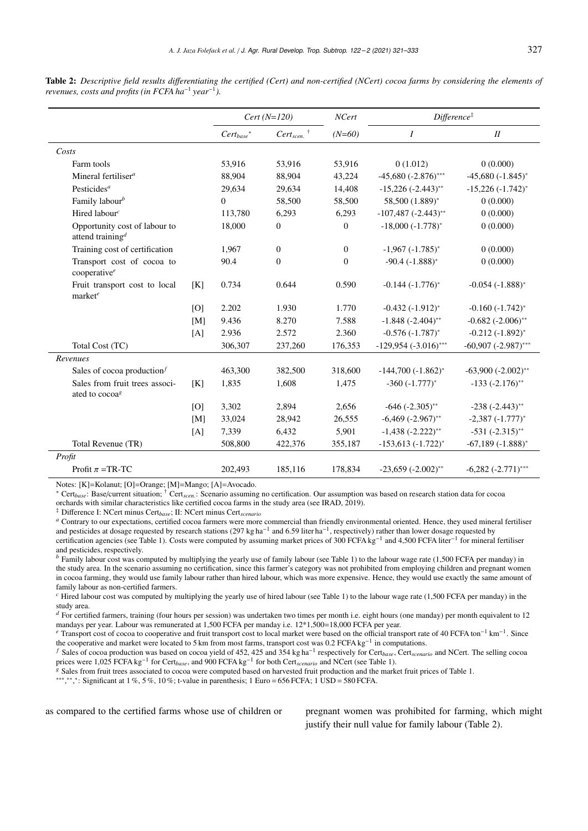|                                                              |     | $Cert(N=120)$   |                             | NCert            | Difference <sup>#</sup>           |                          |
|--------------------------------------------------------------|-----|-----------------|-----------------------------|------------------|-----------------------------------|--------------------------|
|                                                              |     | $Cert_{base}^*$ | $Cert_{seen.}$ <sup>†</sup> | $(N=60)$         | Ι                                 | $I\!I$                   |
| Costs                                                        |     |                 |                             |                  |                                   |                          |
| Farm tools                                                   |     | 53,916          | 53,916                      | 53,916           | 0(1.012)                          | 0(0.000)                 |
| Mineral fertiliser <sup>a</sup>                              |     | 88,904          | 88,904                      | 43,224           | $-45,680$ $(-2.876)$ ***          | $-45,680$ $(-1.845)^*$   |
| Pesticides <sup>a</sup>                                      |     | 29,634          | 29,634                      | 14,408           | $-15,226$ $(-2.443)$ **           | $-15,226(-1.742)^{*}$    |
| Family labour <sup>b</sup>                                   |     | $\Omega$        | 58,500                      | 58,500           | 58,500 (1.889)*                   | 0(0.000)                 |
| Hired labour <sup>c</sup>                                    |     | 113,780         | 6,293                       | 6,293            | $-107,487$ $(-2.443)$ **          | 0(0.000)                 |
| Opportunity cost of labour to<br>attend training $d$         |     | 18,000          | $\boldsymbol{0}$            | $\boldsymbol{0}$ | $-18,000$ $(-1.778)$ <sup>*</sup> | 0(0.000)                 |
| Training cost of certification                               |     | 1,967           | $\mathbf{0}$                | $\boldsymbol{0}$ | $-1,967$ $(-1.785)^{*}$           | 0(0.000)                 |
| Transport cost of cocoa to<br>cooperative <sup>e</sup>       |     | 90.4            | $\mathbf{0}$                | $\overline{0}$   | $-90.4 (-1.888)^*$                | 0(0.000)                 |
| Fruit transport cost to local<br>market <sup>e</sup>         | [K] | 0.734           | 0.644                       | 0.590            | $-0.144 (-1.776)^*$               | $-0.054(-1.888)^{*}$     |
|                                                              | [O] | 2.202           | 1.930                       | 1.770            | $-0.432(-1.912)^{*}$              | $-0.160(-1.742)^{*}$     |
|                                                              | [M] | 9.436           | 8.270                       | 7.588            | $-1.848 (-2.404)$ **              | $-0.682$ $(-2.006)$ **   |
|                                                              | [A] | 2.936           | 2.572                       | 2.360            | $-0.576(-1.787)^{*}$              | $-0.212(-1.892)^{*}$     |
| Total Cost (TC)                                              |     | 306,307         | 237,260                     | 176,353          | $-129,954$ $(-3.016)$ ***         | $-60,907$ $(-2.987)$ *** |
| Revenues                                                     |     |                 |                             |                  |                                   |                          |
| Sales of cocoa production $f$                                |     | 463,300         | 382,500                     | 318,600          | $-144,700(-1.862)^{*}$            | $-63,900$ $(-2.002)$ **  |
| Sales from fruit trees associ-<br>ated to cocoa <sup>8</sup> | [K] | 1,835           | 1,608                       | 1,475            | $-360$ $(-1.777)^*$               | $-133 (-2.176)$ **       |
|                                                              | [O] | 3,302           | 2,894                       | 2,656            | $-646$ $(-2.305)$ **              | $-238$ $(-2.443)$ **     |
|                                                              | [M] | 33,024          | 28,942                      | 26,555           | $-6,469$ $(-2.967)$ **            | $-2,387$ $(-1.777)^*$    |
|                                                              | [A] | 7,339           | 6,432                       | 5,901            | $-1,438$ $(-2.222)$ **            | $-531 (-2.315)$ **       |
| Total Revenue (TR)                                           |     | 508,800         | 422,376                     | 355,187          | $-153,613$ $(-1.722)^{*}$         | $-67,189$ $(-1.888)^*$   |
| Profit                                                       |     |                 |                             |                  |                                   |                          |
| Profit $\pi$ =TR-TC                                          |     | 202,493         | 185,116                     | 178,834          | $-23,659$ $(-2.002)$ **           | $-6,282$ $(-2.771)$ ***  |

Table 2: *Descriptive field results di*ff*erentiating the certified (Cert) and non-certified (NCert) cocoa farms by considering the elements of revenues, costs and profits (in FCFA ha*<sup>−</sup><sup>1</sup> *year*<sup>−</sup><sup>1</sup> *).*

Notes: [K]=Kolanut; [O]=Orange; [M]=Mango; [A]=Avocado.

\* Cert<sub>base</sub>: Base/current situation; <sup>†</sup> Cert<sub>scen</sub>: Scenario assuming no certification. Our assumption was based on research station data for cocoa<br>organization in the similar observatoristics like exertified googs ferm orchards with similar characteristics like certified cocoa farms in the study area (see IRAD, 2019).

‡ Difference I: NCert minus Cert*base*; II: NCert minus Cert*scenario*

*<sup>a</sup>* Contrary to our expectations, certified cocoa farmers were more commercial than friendly environmental oriented. Hence, they used mineral fertiliser and pesticides at dosage requested by research stations (297 kg ha<sup>-1</sup> and 6.59 liter ha<sup>-1</sup>, respectively) rather than lower dosage requested by certification agencies (see Table 1). Costs were computed by assuming market prices of 300 FCFA kg<sup>-1</sup> and 4,500 FCFA liter<sup>-1</sup> for mineral fertiliser and pesticides, respectively.

*b* Family labour cost was computed by multiplying the yearly use of family labour (see Table 1) to the labour wage rate (1,500 FCFA per manday) in the study area. In the scenario assuming no certification, since this farmer's category was not prohibited from employing children and pregnant women in cocoa farming, they would use family labour rather than hired labour, which was more expensive. Hence, they would use exactly the same amount of family labour as non-certified farmers.

*<sup>c</sup>* Hired labour cost was computed by multiplying the yearly use of hired labour (see Table 1) to the labour wage rate (1,500 FCFA per manday) in the study area.

*d* For certified farmers, training (four hours per session) was undertaken two times per month i.e. eight hours (one manday) per month equivalent to 12 mandays per year. Labour was remunerated at 1,500 FCFA per manday i.e. 12\*1,500=18,000 FCFA per year.

*<sup>e</sup>* Transport cost of cocoa to cooperative and fruit transport cost to local market were based on the official transport rate of 40 FCFA ton−<sup>1</sup> km−<sup>1</sup> . Since the cooperative and market were located to 5 km from most farms, transport cost was 0.2 FCFA kg<sup>-1</sup> in computations.

*<sup>f</sup>* Sales of cocoa production was based on cocoa yield of 452, 425 and 354 kg ha−<sup>1</sup> respectively for Cert*base*, Cert*scenario* and NCert. The selling cocoa prices were 1,025 FCFA kg<sup>-1</sup> for Cert<sub>base</sub>, and 900 FCFA kg<sup>-1</sup> for both Cert<sub>scenario</sub> and NCert (see Table 1).

*<sup>g</sup>* Sales from fruit trees associated to cocoa were computed based on harvested fruit production and the market fruit prices of Table 1.

 $***$ <sup>\*\*\*</sup>,\*: Significant at 1 %, 5 %, 10 %; t-value in parenthesis; 1 Euro = 656 FCFA; 1 USD = 580 FCFA.

as compared to the certified farms whose use of children or pregnant women was prohibited for farming, which might justify their null value for family labour (Table 2).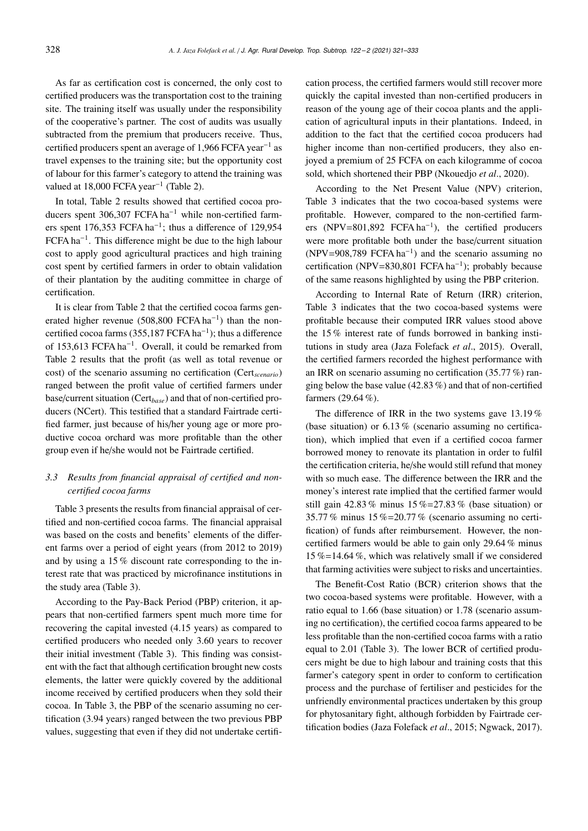As far as certification cost is concerned, the only cost to certified producers was the transportation cost to the training site. The training itself was usually under the responsibility of the cooperative's partner. The cost of audits was usually subtracted from the premium that producers receive. Thus, certified producers spent an average of 1,966 FCFA year<sup>−</sup><sup>1</sup> as travel expenses to the training site; but the opportunity cost of labour for this farmer's category to attend the training was valued at 18,000 FCFA year<sup>-1</sup> (Table 2).

In total, Table 2 results showed that certified cocoa producers spent 306,307 FCFA ha<sup>−</sup><sup>1</sup> while non-certified farmers spent 176,353 FCFA ha<sup>-1</sup>; thus a difference of 129,954 FCFA ha<sup>−</sup><sup>1</sup> . This difference might be due to the high labour cost to apply good agricultural practices and high training cost spent by certified farmers in order to obtain validation of their plantation by the auditing committee in charge of certification.

It is clear from Table 2 that the certified cocoa farms generated higher revenue  $(508,800 \text{ FCFA ha}^{-1})$  than the noncertified cocoa farms (355,187 FCFA ha<sup>-1</sup>); thus a difference of 153,613 FCFA ha<sup>−</sup><sup>1</sup> . Overall, it could be remarked from Table 2 results that the profit (as well as total revenue or cost) of the scenario assuming no certification (Cert*scenario*) ranged between the profit value of certified farmers under base/current situation (Cert*base*) and that of non-certified producers (NCert). This testified that a standard Fairtrade certified farmer, just because of his/her young age or more productive cocoa orchard was more profitable than the other group even if he/she would not be Fairtrade certified.

## *3.3 Results from financial appraisal of certified and noncertified cocoa farms*

Table 3 presents the results from financial appraisal of certified and non-certified cocoa farms. The financial appraisal was based on the costs and benefits' elements of the different farms over a period of eight years (from 2012 to 2019) and by using a 15 % discount rate corresponding to the interest rate that was practiced by microfinance institutions in the study area (Table 3).

According to the Pay-Back Period (PBP) criterion, it appears that non-certified farmers spent much more time for recovering the capital invested (4.15 years) as compared to certified producers who needed only 3.60 years to recover their initial investment (Table 3). This finding was consistent with the fact that although certification brought new costs elements, the latter were quickly covered by the additional income received by certified producers when they sold their cocoa. In Table 3, the PBP of the scenario assuming no certification (3.94 years) ranged between the two previous PBP values, suggesting that even if they did not undertake certifi-

cation process, the certified farmers would still recover more quickly the capital invested than non-certified producers in reason of the young age of their cocoa plants and the application of agricultural inputs in their plantations. Indeed, in addition to the fact that the certified cocoa producers had higher income than non-certified producers, they also enjoyed a premium of 25 FCFA on each kilogramme of cocoa sold, which shortened their PBP (Nkouedjo *et al*., 2020).

According to the Net Present Value (NPV) criterion, Table 3 indicates that the two cocoa-based systems were profitable. However, compared to the non-certified farmers (NPV=801,892 FCFA ha<sup>-1</sup>), the certified producers were more profitable both under the base/current situation (NPV=908,789 FCFA ha<sup>-1</sup>) and the scenario assuming no certification (NPV=830,801 FCFA ha<sup>−</sup><sup>1</sup> ); probably because of the same reasons highlighted by using the PBP criterion.

According to Internal Rate of Return (IRR) criterion, Table 3 indicates that the two cocoa-based systems were profitable because their computed IRR values stood above the 15 % interest rate of funds borrowed in banking institutions in study area (Jaza Folefack *et al*., 2015). Overall, the certified farmers recorded the highest performance with an IRR on scenario assuming no certification (35.77 %) ranging below the base value (42.83 %) and that of non-certified farmers (29.64 %).

The difference of IRR in the two systems gave 13.19 % (base situation) or 6.13 % (scenario assuming no certification), which implied that even if a certified cocoa farmer borrowed money to renovate its plantation in order to fulfil the certification criteria, he/she would still refund that money with so much ease. The difference between the IRR and the money's interest rate implied that the certified farmer would still gain  $42.83\%$  minus  $15\% = 27.83\%$  (base situation) or 35.77 % minus  $15\% = 20.77\%$  (scenario assuming no certification) of funds after reimbursement. However, the noncertified farmers would be able to gain only 29.64 % minus 15 %=14.64 %, which was relatively small if we considered that farming activities were subject to risks and uncertainties.

The Benefit-Cost Ratio (BCR) criterion shows that the two cocoa-based systems were profitable. However, with a ratio equal to 1.66 (base situation) or 1.78 (scenario assuming no certification), the certified cocoa farms appeared to be less profitable than the non-certified cocoa farms with a ratio equal to 2.01 (Table 3). The lower BCR of certified producers might be due to high labour and training costs that this farmer's category spent in order to conform to certification process and the purchase of fertiliser and pesticides for the unfriendly environmental practices undertaken by this group for phytosanitary fight, although forbidden by Fairtrade certification bodies (Jaza Folefack *et al*., 2015; Ngwack, 2017).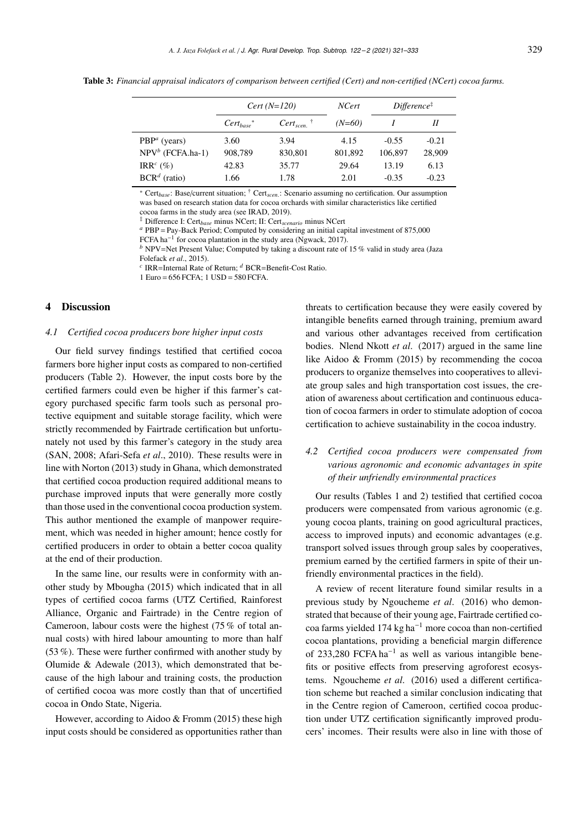Table 3: *Financial appraisal indicators of comparison between certified (Cert) and non-certified (NCert) cocoa farms.*

|                         | $Cert(N=120)$   |                | <b>NCert</b> | $Difference^{\ddagger}$ |         |
|-------------------------|-----------------|----------------|--------------|-------------------------|---------|
|                         | $Cert_{base}^*$ | $Cert_{seen.}$ | $(N=60)$     |                         | Н       |
| $PBPa$ (years)          | 3.60            | 3.94           | 4.15         | $-0.55$                 | $-0.21$ |
| $NPV^b$ (FCFA.ha-1)     | 908,789         | 830,801        | 801,892      | 106,897                 | 28,909  |
| IRR <sup>c</sup> $(\%)$ | 42.83           | 35.77          | 29.64        | 13.19                   | 6.13    |
| $BCRd$ (ratio)          | 1.66            | 1.78           | 2.01         | $-0.35$                 | $-0.23$ |

\* Cert*base*: Base/current situation; † Cert*scen*. : Scenario assuming no certification. Our assumption was based on research station data for cocoa orchards with similar characteristics like certified cocoa farms in the study area (see IRAD, 2019).

‡ Difference I: Cert*base* minus NCert; II: Cert*scenario* minus NCert

*<sup>a</sup>* PBP = Pay-Back Period; Computed by considering an initial capital investment of 875,000

FCFA ha−<sup>1</sup> for cocoa plantation in the study area (Ngwack, 2017).

*b* NPV=Net Present Value; Computed by taking a discount rate of 15% valid in study area (Jaza

Folefack *et al*., 2015).

*c* IRR=Internal Rate of Return; *<sup>d</sup>* BCR=Benefit-Cost Ratio.

1 Euro = 656 FCFA; 1 USD = 580 FCFA.

## 4 Discussion

## *4.1 Certified cocoa producers bore higher input costs*

Our field survey findings testified that certified cocoa farmers bore higher input costs as compared to non-certified producers (Table 2). However, the input costs bore by the certified farmers could even be higher if this farmer's category purchased specific farm tools such as personal protective equipment and suitable storage facility, which were strictly recommended by Fairtrade certification but unfortunately not used by this farmer's category in the study area (SAN, 2008; Afari-Sefa *et al*., 2010). These results were in line with Norton (2013) study in Ghana, which demonstrated that certified cocoa production required additional means to purchase improved inputs that were generally more costly than those used in the conventional cocoa production system. This author mentioned the example of manpower requirement, which was needed in higher amount; hence costly for certified producers in order to obtain a better cocoa quality at the end of their production.

In the same line, our results were in conformity with another study by Mbougha (2015) which indicated that in all types of certified cocoa farms (UTZ Certified, Rainforest Alliance, Organic and Fairtrade) in the Centre region of Cameroon, labour costs were the highest (75 % of total annual costs) with hired labour amounting to more than half (53 %). These were further confirmed with another study by Olumide & Adewale (2013), which demonstrated that because of the high labour and training costs, the production of certified cocoa was more costly than that of uncertified cocoa in Ondo State, Nigeria.

However, according to Aidoo & Fromm (2015) these high input costs should be considered as opportunities rather than

threats to certification because they were easily covered by intangible benefits earned through training, premium award and various other advantages received from certification bodies. Nlend Nkott *et al*. (2017) argued in the same line like Aidoo & Fromm (2015) by recommending the cocoa producers to organize themselves into cooperatives to alleviate group sales and high transportation cost issues, the creation of awareness about certification and continuous education of cocoa farmers in order to stimulate adoption of cocoa certification to achieve sustainability in the cocoa industry.

# *4.2 Certified cocoa producers were compensated from various agronomic and economic advantages in spite of their unfriendly environmental practices*

Our results (Tables 1 and 2) testified that certified cocoa producers were compensated from various agronomic (e.g. young cocoa plants, training on good agricultural practices, access to improved inputs) and economic advantages (e.g. transport solved issues through group sales by cooperatives, premium earned by the certified farmers in spite of their unfriendly environmental practices in the field).

A review of recent literature found similar results in a previous study by Ngoucheme *et al*. (2016) who demonstrated that because of their young age, Fairtrade certified cocoa farms yielded 174 kg ha<sup>−</sup><sup>1</sup> more cocoa than non-certified cocoa plantations, providing a beneficial margin difference of 233,280 FCFA ha<sup>−</sup><sup>1</sup> as well as various intangible benefits or positive effects from preserving agroforest ecosystems. Ngoucheme *et al*. (2016) used a different certification scheme but reached a similar conclusion indicating that in the Centre region of Cameroon, certified cocoa production under UTZ certification significantly improved producers' incomes. Their results were also in line with those of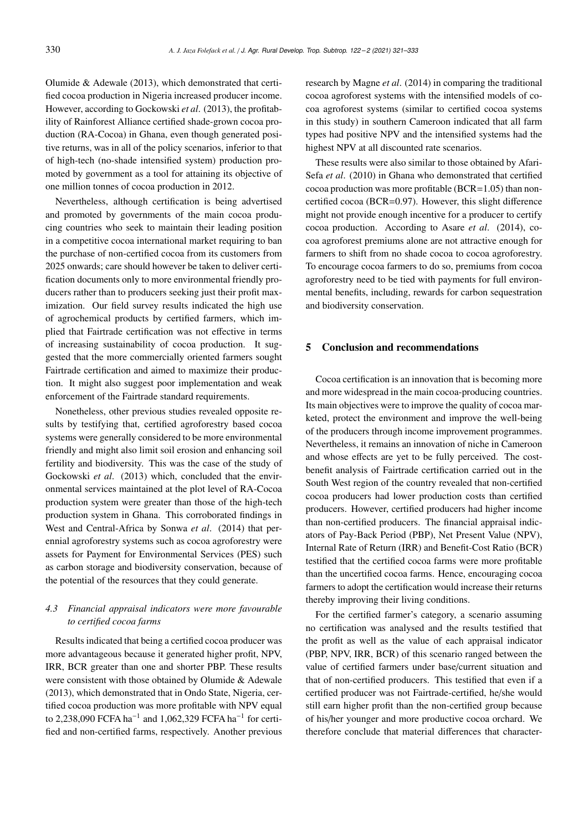Olumide & Adewale (2013), which demonstrated that certified cocoa production in Nigeria increased producer income. However, according to Gockowski *et al*. (2013), the profitability of Rainforest Alliance certified shade-grown cocoa production (RA-Cocoa) in Ghana, even though generated positive returns, was in all of the policy scenarios, inferior to that of high-tech (no-shade intensified system) production promoted by government as a tool for attaining its objective of one million tonnes of cocoa production in 2012.

Nevertheless, although certification is being advertised and promoted by governments of the main cocoa producing countries who seek to maintain their leading position in a competitive cocoa international market requiring to ban the purchase of non-certified cocoa from its customers from 2025 onwards; care should however be taken to deliver certification documents only to more environmental friendly producers rather than to producers seeking just their profit maximization. Our field survey results indicated the high use of agrochemical products by certified farmers, which implied that Fairtrade certification was not effective in terms of increasing sustainability of cocoa production. It suggested that the more commercially oriented farmers sought Fairtrade certification and aimed to maximize their production. It might also suggest poor implementation and weak enforcement of the Fairtrade standard requirements.

Nonetheless, other previous studies revealed opposite results by testifying that, certified agroforestry based cocoa systems were generally considered to be more environmental friendly and might also limit soil erosion and enhancing soil fertility and biodiversity. This was the case of the study of Gockowski *et al*. (2013) which, concluded that the environmental services maintained at the plot level of RA-Cocoa production system were greater than those of the high-tech production system in Ghana. This corroborated findings in West and Central-Africa by Sonwa *et al*. (2014) that perennial agroforestry systems such as cocoa agroforestry were assets for Payment for Environmental Services (PES) such as carbon storage and biodiversity conservation, because of the potential of the resources that they could generate.

## *4.3 Financial appraisal indicators were more favourable to certified cocoa farms*

Results indicated that being a certified cocoa producer was more advantageous because it generated higher profit, NPV, IRR, BCR greater than one and shorter PBP. These results were consistent with those obtained by Olumide & Adewale (2013), which demonstrated that in Ondo State, Nigeria, certified cocoa production was more profitable with NPV equal to 2,238,090 FCFA ha<sup>-1</sup> and 1,062,329 FCFA ha<sup>-1</sup> for certified and non-certified farms, respectively. Another previous

research by Magne *et al*. (2014) in comparing the traditional cocoa agroforest systems with the intensified models of cocoa agroforest systems (similar to certified cocoa systems in this study) in southern Cameroon indicated that all farm types had positive NPV and the intensified systems had the highest NPV at all discounted rate scenarios.

These results were also similar to those obtained by Afari-Sefa *et al*. (2010) in Ghana who demonstrated that certified cocoa production was more profitable (BCR=1.05) than noncertified cocoa (BCR=0.97). However, this slight difference might not provide enough incentive for a producer to certify cocoa production. According to Asare *et al*. (2014), cocoa agroforest premiums alone are not attractive enough for farmers to shift from no shade cocoa to cocoa agroforestry. To encourage cocoa farmers to do so, premiums from cocoa agroforestry need to be tied with payments for full environmental benefits, including, rewards for carbon sequestration and biodiversity conservation.

## 5 Conclusion and recommendations

Cocoa certification is an innovation that is becoming more and more widespread in the main cocoa-producing countries. Its main objectives were to improve the quality of cocoa marketed, protect the environment and improve the well-being of the producers through income improvement programmes. Nevertheless, it remains an innovation of niche in Cameroon and whose effects are yet to be fully perceived. The costbenefit analysis of Fairtrade certification carried out in the South West region of the country revealed that non-certified cocoa producers had lower production costs than certified producers. However, certified producers had higher income than non-certified producers. The financial appraisal indicators of Pay-Back Period (PBP), Net Present Value (NPV), Internal Rate of Return (IRR) and Benefit-Cost Ratio (BCR) testified that the certified cocoa farms were more profitable than the uncertified cocoa farms. Hence, encouraging cocoa farmers to adopt the certification would increase their returns thereby improving their living conditions.

For the certified farmer's category, a scenario assuming no certification was analysed and the results testified that the profit as well as the value of each appraisal indicator (PBP, NPV, IRR, BCR) of this scenario ranged between the value of certified farmers under base/current situation and that of non-certified producers. This testified that even if a certified producer was not Fairtrade-certified, he/she would still earn higher profit than the non-certified group because of his/her younger and more productive cocoa orchard. We therefore conclude that material differences that character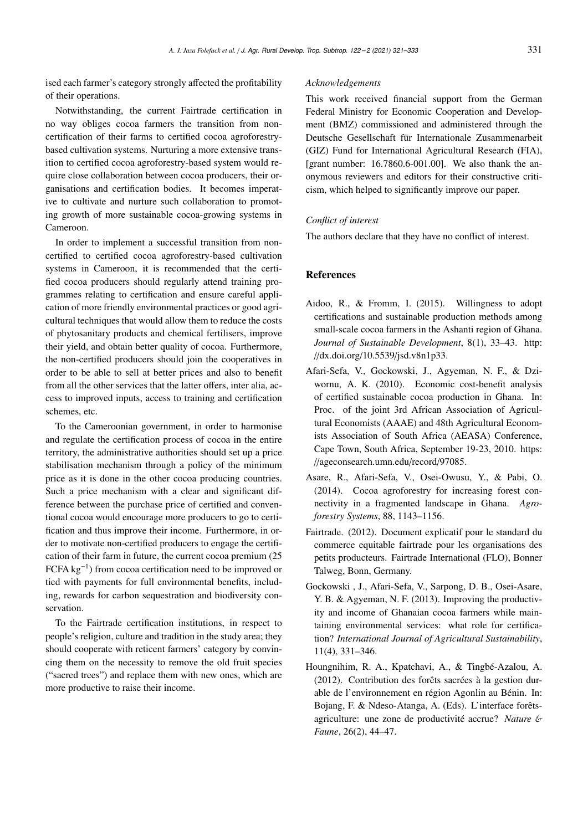ised each farmer's category strongly affected the profitability of their operations.

Notwithstanding, the current Fairtrade certification in no way obliges cocoa farmers the transition from noncertification of their farms to certified cocoa agroforestrybased cultivation systems. Nurturing a more extensive transition to certified cocoa agroforestry-based system would require close collaboration between cocoa producers, their organisations and certification bodies. It becomes imperative to cultivate and nurture such collaboration to promoting growth of more sustainable cocoa-growing systems in Cameroon.

In order to implement a successful transition from noncertified to certified cocoa agroforestry-based cultivation systems in Cameroon, it is recommended that the certified cocoa producers should regularly attend training programmes relating to certification and ensure careful application of more friendly environmental practices or good agricultural techniques that would allow them to reduce the costs of phytosanitary products and chemical fertilisers, improve their yield, and obtain better quality of cocoa. Furthermore, the non-certified producers should join the cooperatives in order to be able to sell at better prices and also to benefit from all the other services that the latter offers, inter alia, access to improved inputs, access to training and certification schemes, etc.

To the Cameroonian government, in order to harmonise and regulate the certification process of cocoa in the entire territory, the administrative authorities should set up a price stabilisation mechanism through a policy of the minimum price as it is done in the other cocoa producing countries. Such a price mechanism with a clear and significant difference between the purchase price of certified and conventional cocoa would encourage more producers to go to certification and thus improve their income. Furthermore, in order to motivate non-certified producers to engage the certification of their farm in future, the current cocoa premium (25 FCFA kg<sup>−</sup><sup>1</sup> ) from cocoa certification need to be improved or tied with payments for full environmental benefits, including, rewards for carbon sequestration and biodiversity conservation.

To the Fairtrade certification institutions, in respect to people's religion, culture and tradition in the study area; they should cooperate with reticent farmers' category by convincing them on the necessity to remove the old fruit species ("sacred trees") and replace them with new ones, which are more productive to raise their income.

#### *Acknowledgements*

This work received financial support from the German Federal Ministry for Economic Cooperation and Development (BMZ) commissioned and administered through the Deutsche Gesellschaft für Internationale Zusammenarbeit (GIZ) Fund for International Agricultural Research (FIA), [grant number: 16.7860.6-001.00]. We also thank the anonymous reviewers and editors for their constructive criticism, which helped to significantly improve our paper.

## *Conflict of interest*

The authors declare that they have no conflict of interest.

## References

- Aidoo, R., & Fromm, I. (2015). Willingness to adopt certifications and sustainable production methods among small-scale cocoa farmers in the Ashanti region of Ghana. *Journal of Sustainable Development*, 8(1), 33–43. http: //dx.doi.org/10.5539/jsd.v8n1p33.
- Afari-Sefa, V., Gockowski, J., Agyeman, N. F., & Dziwornu, A. K. (2010). Economic cost-benefit analysis of certified sustainable cocoa production in Ghana. In: Proc. of the joint 3rd African Association of Agricultural Economists (AAAE) and 48th Agricultural Economists Association of South Africa (AEASA) Conference, Cape Town, South Africa, September 19-23, 2010. https: //ageconsearch.umn.edu/record/97085.
- Asare, R., Afari-Sefa, V., Osei-Owusu, Y., & Pabi, O. (2014). Cocoa agroforestry for increasing forest connectivity in a fragmented landscape in Ghana. *Agroforestry Systems*, 88, 1143–1156.
- Fairtrade. (2012). Document explicatif pour le standard du commerce equitable fairtrade pour les organisations des petits producteurs. Fairtrade International (FLO), Bonner Talweg, Bonn, Germany.
- Gockowski , J., Afari-Sefa, V., Sarpong, D. B., Osei-Asare, Y. B. & Agyeman, N. F. (2013). Improving the productivity and income of Ghanaian cocoa farmers while maintaining environmental services: what role for certification? *International Journal of Agricultural Sustainability*, 11(4), 331–346.
- Houngnihim, R. A., Kpatchavi, A., & Tingbé-Azalou, A. (2012). Contribution des forêts sacrées à la gestion durable de l'environnement en région Agonlin au Bénin. In: Bojang, F. & Ndeso-Atanga, A. (Eds). L'interface forêtsagriculture: une zone de productivité accrue? *Nature* & *Faune*, 26(2), 44–47.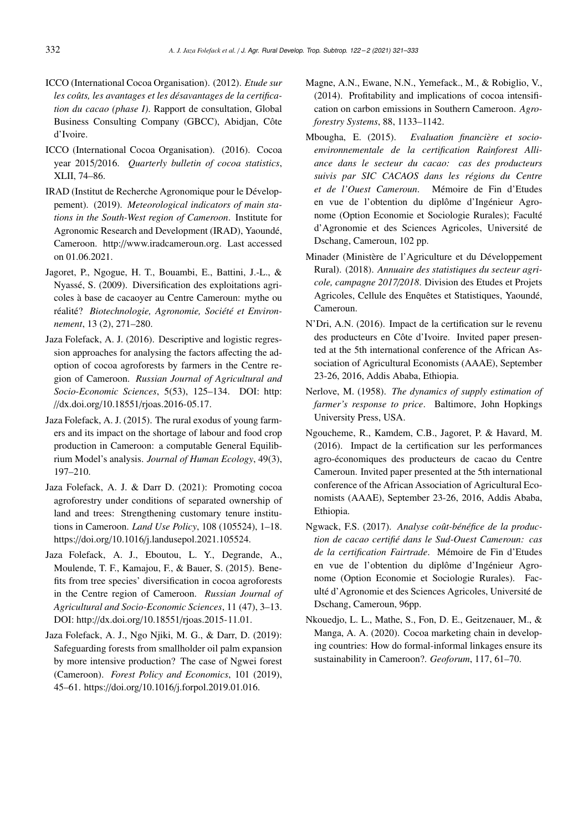- ICCO (International Cocoa Organisation). (2012). *Etude sur les coûts, les avantages et les désavantages de la certification du cacao (phase I)*. Rapport de consultation, Global Business Consulting Company (GBCC), Abidjan, Côte d'Ivoire.
- ICCO (International Cocoa Organisation). (2016). Cocoa year 2015/2016. *Quarterly bulletin of cocoa statistics*, XLII, 74–86.
- IRAD (Institut de Recherche Agronomique pour le Développement). (2019). *Meteorological indicators of main stations in the South-West region of Cameroon*. Institute for Agronomic Research and Development (IRAD), Yaoundé, Cameroon. http://www.iradcameroun.org. Last accessed on 01.06.2021.
- Jagoret, P., Ngogue, H. T., Bouambi, E., Battini, J.-L., & Nyassé, S. (2009). Diversification des exploitations agricoles à base de cacaoyer au Centre Cameroun: mythe ou réalité? *Biotechnologie, Agronomie, Société et Environnement*, 13 (2), 271–280.
- Jaza Folefack, A. J. (2016). Descriptive and logistic regression approaches for analysing the factors affecting the adoption of cocoa agroforests by farmers in the Centre region of Cameroon. *Russian Journal of Agricultural and Socio-Economic Sciences*, 5(53), 125–134. DOI: http: //dx.doi.org/10.18551/rjoas.2016-05.17.
- Jaza Folefack, A. J. (2015). The rural exodus of young farmers and its impact on the shortage of labour and food crop production in Cameroon: a computable General Equilibrium Model's analysis. *Journal of Human Ecology*, 49(3), 197–210.
- Jaza Folefack, A. J. & Darr D. (2021): Promoting cocoa agroforestry under conditions of separated ownership of land and trees: Strengthening customary tenure institutions in Cameroon. *Land Use Policy*, 108 (105524), 1–18. https://doi.org/10.1016/j.landusepol.2021.105524.
- Jaza Folefack, A. J., Eboutou, L. Y., Degrande, A., Moulende, T. F., Kamajou, F., & Bauer, S. (2015). Benefits from tree species' diversification in cocoa agroforests in the Centre region of Cameroon. *Russian Journal of Agricultural and Socio-Economic Sciences*, 11 (47), 3–13. DOI: http://dx.doi.org/10.18551/rjoas.2015-11.01.
- Jaza Folefack, A. J., Ngo Njiki, M. G., & Darr, D. (2019): Safeguarding forests from smallholder oil palm expansion by more intensive production? The case of Ngwei forest (Cameroon). *Forest Policy and Economics*, 101 (2019), 45–61. https://doi.org/10.1016/j.forpol.2019.01.016.
- Magne, A.N., Ewane, N.N., Yemefack., M., & Robiglio, V., (2014). Profitability and implications of cocoa intensification on carbon emissions in Southern Cameroon. *Agroforestry Systems*, 88, 1133–1142.
- Mbougha, E. (2015). *Evaluation financière et socioenvironnementale de la certification Rainforest Alliance dans le secteur du cacao: cas des producteurs suivis par SIC CACAOS dans les régions du Centre et de l'Ouest Cameroun*. Mémoire de Fin d'Etudes en vue de l'obtention du diplôme d'Ingénieur Agronome (Option Economie et Sociologie Rurales); Faculté d'Agronomie et des Sciences Agricoles, Université de Dschang, Cameroun, 102 pp.
- Minader (Ministère de l'Agriculture et du Développement Rural). (2018). *Annuaire des statistiques du secteur agricole, campagne 2017*/*2018*. Division des Etudes et Projets Agricoles, Cellule des Enquêtes et Statistiques, Yaoundé, Cameroun.
- N'Dri, A.N. (2016). Impact de la certification sur le revenu des producteurs en Côte d'Ivoire. Invited paper presented at the 5th international conference of the African Association of Agricultural Economists (AAAE), September 23-26, 2016, Addis Ababa, Ethiopia.
- Nerlove, M. (1958). *The dynamics of supply estimation of farmer's response to price*. Baltimore, John Hopkings University Press, USA.
- Ngoucheme, R., Kamdem, C.B., Jagoret, P. & Havard, M. (2016). Impact de la certification sur les performances agro-économiques des producteurs de cacao du Centre Cameroun. Invited paper presented at the 5th international conference of the African Association of Agricultural Economists (AAAE), September 23-26, 2016, Addis Ababa, Ethiopia.
- Ngwack, F.S. (2017). *Analyse coût-bénéfice de la production de cacao certifié dans le Sud-Ouest Cameroun: cas de la certification Fairtrade*. Mémoire de Fin d'Etudes en vue de l'obtention du diplôme d'Ingénieur Agronome (Option Economie et Sociologie Rurales). Faculté d'Agronomie et des Sciences Agricoles, Université de Dschang, Cameroun, 96pp.
- Nkouedjo, L. L., Mathe, S., Fon, D. E., Geitzenauer, M., & Manga, A. A. (2020). Cocoa marketing chain in developing countries: How do formal-informal linkages ensure its sustainability in Cameroon?. *Geoforum*, 117, 61–70.